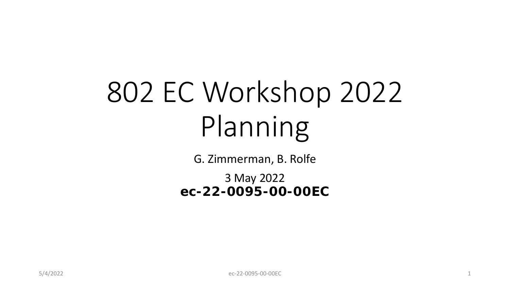# 802 EC Workshop 2022 Planning

G. Zimmerman, B. Rolfe

3 May 2022 **ec-22-0095-00-00EC**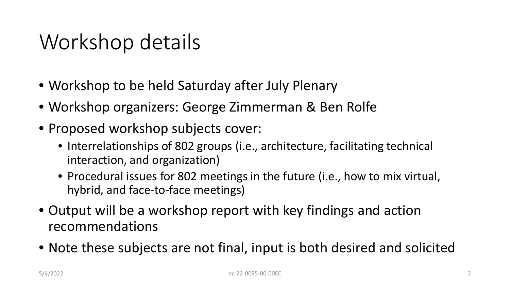### Workshop details

- Workshop to be held Saturday after July Plenary
- Workshop organizers: George Zimmerman & Ben Rolfe
- Proposed workshop subjects cover:
	- Interrelationships of 802 groups (i.e., architecture, facilitating technical interaction, and organization)
	- Procedural issues for 802 meetings in the future (i.e., how to mix virtual, hybrid, and face-to-face meetings)
- Output will be a workshop report with key findings and action recommendations
- Note these subjects are not final, input is both desired and solicited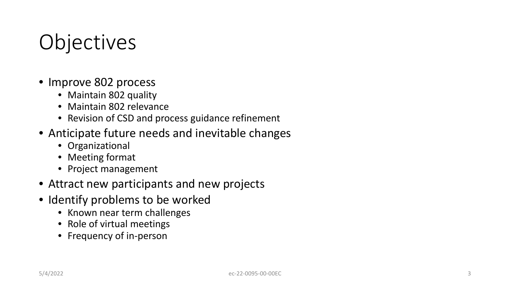## **Objectives**

- Improve 802 process
	- Maintain 802 quality
	- Maintain 802 relevance
	- Revision of CSD and process guidance refinement
- Anticipate future needs and inevitable changes
	- Organizational
	- Meeting format
	- Project management
- Attract new participants and new projects
- Identify problems to be worked
	- Known near term challenges
	- Role of virtual meetings
	- Frequency of in-person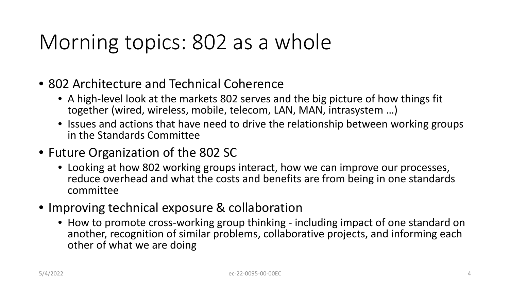### Morning topics: 802 as a whole

- 802 Architecture and Technical Coherence
	- A high-level look at the markets 802 serves and the big picture of how things fit together (wired, wireless, mobile, telecom, LAN, MAN, intrasystem …)
	- Issues and actions that have need to drive the relationship between working groups in the Standards Committee
- Future Organization of the 802 SC
	- Looking at how 802 working groups interact, how we can improve our processes, reduce overhead and what the costs and benefits are from being in one standards committee
- Improving technical exposure & collaboration
	- How to promote cross-working group thinking including impact of one standard on another, recognition of similar problems, collaborative projects, and informing each other of what we are doing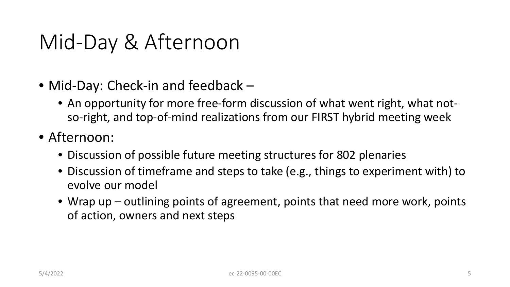### Mid-Day & Afternoon

- Mid-Day: Check-in and feedback
	- An opportunity for more free-form discussion of what went right, what notso-right, and top-of-mind realizations from our FIRST hybrid meeting week
- Afternoon:
	- Discussion of possible future meeting structures for 802 plenaries
	- Discussion of timeframe and steps to take (e.g., things to experiment with) to evolve our model
	- Wrap up outlining points of agreement, points that need more work, points of action, owners and next steps